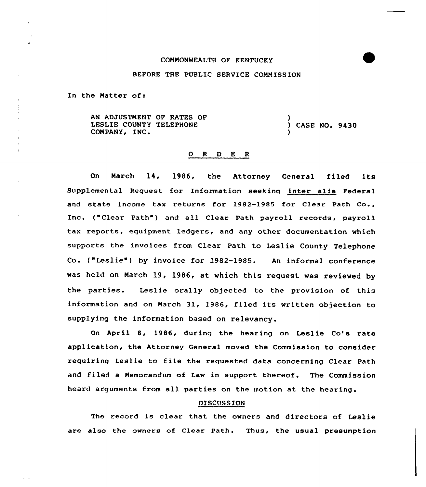### COMMONNEALTH OF KENTUCKY

# BEFORE THE PUBLIC SERVICE COMMISSION

In the Matter of:

AN ADJUSTMENT OF RATES OF LESLIE COUNTY TELEPHONE (2008) CASE NO. 2430<br>COMPANY, INC. )

#### 0 R <sup>D</sup> E <sup>R</sup>

On March 14, 1986, the Attorney General filed its Supplemental Request for Information seeking inter alia Federal and state income tax returns for 19B2-1985 for Clear Path Co., Inc. ("Clear Path") and all Clear Path payroll records, payroll tax reports, equipment ledgers, and any other documentation which supports the invoices from Clear Path to Leslie County Telephone Co. ("Leslie") by invoice for 1982-1985. An informal conference was held on March 19, 1986, at which this request was reviewed by the parties. Leslie orally objected to the provision of this information and on March 31, 1986, filed its written objection to supplying the information based on relevancy.

On April 8, 1986, during the hearing on Leslie Co's rate application, the Attorney General moved the Commission to consider requiring Leslie to file the requested data concerning Clear Path and filed a Memorandum of Law in support thereof. The Commission heard arguments from all parties on the motion at the hearing.

## **DISCUSSION**

The record is clear that the owners and directors of Leslie are also the owners of Clear Path. Thus, the usual presumption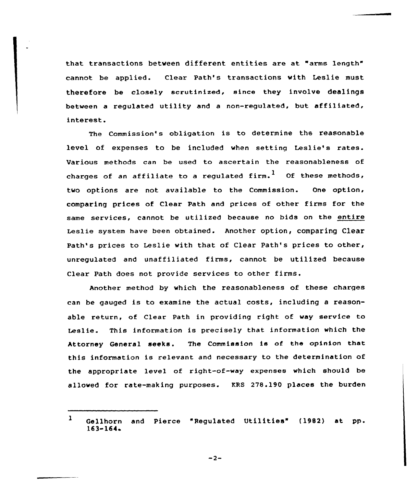that transactions between different entities are at "arms length" cannot be applied. Clear Path's transactions with Leslie must therefore be closely scrutinized, since they involve dealings between a regulated utility and a non-regulated, but affiliated, interest.

The Commission's obligation is to determine the reasonable level of expenses to be included when setting Leslie's rates. Various methods can be used to ascertain the reasonableness of charges of an affiliate to a regulated firm.<sup>1</sup> Of these methods, two options are not available to the Commissian. One option, comparing prices of Clear Path and prices cf other firms for the same services, cannot be utilized because no bids on the entire Leslie system have been obtained. Another option, comparing Clear Path's prices to Leslie with that of Clear Path's prices to other, unregulated and unaffiliated firms, cannot be utilized because Clear Path does not provide services to other firms.

Another method by which the reasonableness af these charges can be gauged is to examine the actua1 costs, including a reasonable return, of Clear Path in providing right of way service to Leslie. This information is precisely that information which the Attorney General seeks. The Commission is af the opinion that this information is relevant and necessary to the determination of the appropriate level of right-of-way expenses which should be allowed for rate-making purposes. KRS 278.190 places the burden

 $-2-$ 

 $\mathbf{1}$ Gellhorn and Pierce "Regulated Utilities" (1982) at pp. 163-164'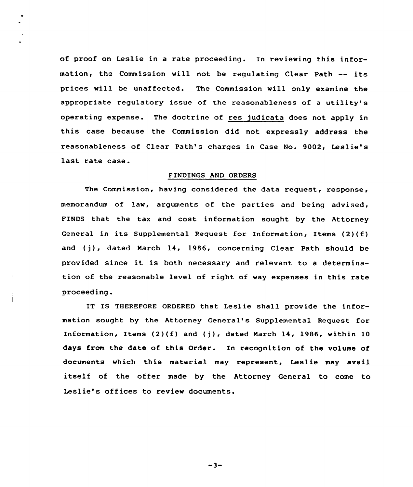of proof on Leslie in a rate proceeding. In reviewing this information, the Commission will not be regulating Clear Path -- its prices will be unaffected. The Commission vill only examine the appropriate regulatory issue of the reasonableness of <sup>a</sup> utility's operating expense. The doctrine of res judicata does not apply in this case because the Commission did not expressly address the reasonableness of Clear Path's charges in Case No. 9002, Leslie's last rate case.

#### FINDINGS AND ORDERS

The Commission, having considered the data request, response, memorandum of lav, arguments of the parties and being advised, FINDS that the tax and cost information sought by the Attorney General in its Supplemental Request for Information, Items (2)(f) and (j), dated March 14, 1986, concerning Clear Path should be provided since it is both necessary and relevant to <sup>a</sup> determination of the reasonable level of right of way expenses in this rate proceeding.

IT IS THEREFORE ORDERED that Leslie shall provide the information sought by the Attorney General's Supplemental Request for Information, Items  $(2)(f)$  and  $(j)$ , dated March 14, 1986, within 10 days from the date of this Order. In recognition of the volume of documents which this material may represent, Leslie may avail itself of the offer made by the Attorney General to come to Leslie's offices to review documents.

 $-3-$